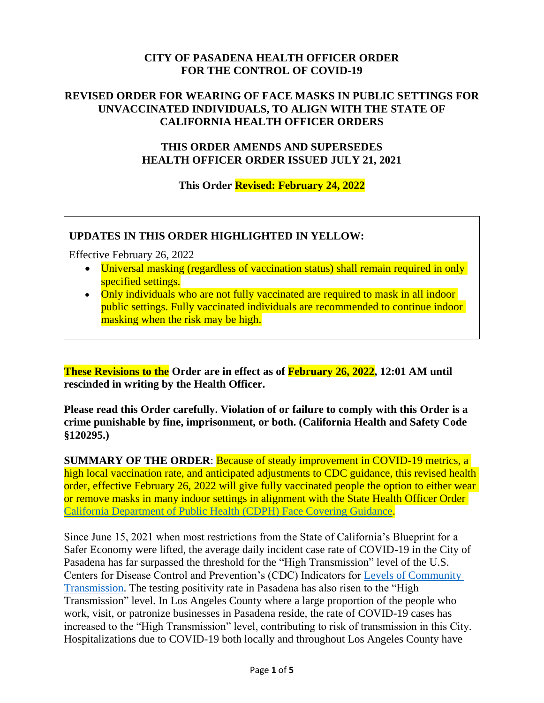# **CITY OF PASADENA HEALTH OFFICER ORDER FOR THE CONTROL OF COVID-19**

### **REVISED ORDER FOR WEARING OF FACE MASKS IN PUBLIC SETTINGS FOR UNVACCINATED INDIVIDUALS, TO ALIGN WITH THE STATE OF CALIFORNIA HEALTH OFFICER ORDERS**

### **THIS ORDER AMENDS AND SUPERSEDES HEALTH OFFICER ORDER ISSUED JULY 21, 2021**

**This Order Revised: February 24, 2022**

### **UPDATES IN THIS ORDER HIGHLIGHTED IN YELLOW:**

Effective February 26, 2022

- Universal masking (regardless of vaccination status) shall remain required in only specified settings.
- Only individuals who are not fully vaccinated are required to mask in all indoor public settings. Fully vaccinated individuals are recommended to continue indoor masking when the risk may be high.

**These Revisions to the Order are in effect as of February 26, 2022, 12:01 AM until rescinded in writing by the Health Officer.**

**Please read this Order carefully. Violation of or failure to comply with this Order is a crime punishable by fine, imprisonment, or both. (California Health and Safety Code §120295.)**

**SUMMARY OF THE ORDER**: Because of steady improvement in COVID-19 metrics, a high local vaccination rate, and anticipated adjustments to CDC guidance, this revised health order, effective February 26, 2022 will give fully vaccinated people the option to either wear or remove masks in many indoor settings in alignment with the State Health Officer Order [California Department of Public Health \(CDPH\) Face Covering Guidance.](https://www.cdph.ca.gov/Programs/CID/DCDC/Pages/COVID-19/guidance-for-face-coverings.aspx)

Since June 15, 2021 when most restrictions from the State of California's Blueprint for a Safer Economy were lifted, the average daily incident case rate of COVID-19 in the City of Pasadena has far surpassed the threshold for the "High Transmission" level of the U.S. Centers for Disease Control and Prevention's (CDC) Indicators for [Levels of Community](https://covid.cdc.gov/covid-data-tracker/#county-view)  [Transmission.](https://covid.cdc.gov/covid-data-tracker/#county-view) The testing positivity rate in Pasadena has also risen to the "High Transmission" level. In Los Angeles County where a large proportion of the people who work, visit, or patronize businesses in Pasadena reside, the rate of COVID-19 cases has increased to the "High Transmission" level, contributing to risk of transmission in this City. Hospitalizations due to COVID-19 both locally and throughout Los Angeles County have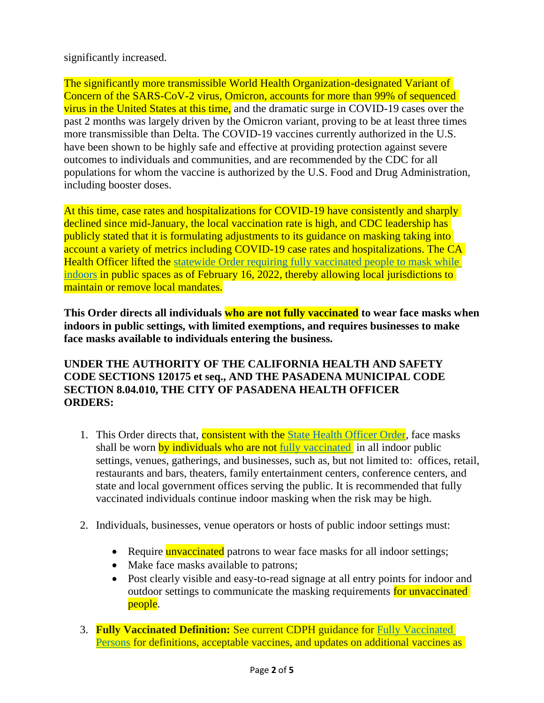# significantly increased.

The significantly more transmissible World Health Organization-designated Variant of Concern of the SARS-CoV-2 virus, Omicron, accounts for more than 99% of sequenced virus in the United States at this time, and the dramatic surge in COVID-19 cases over the past 2 months was largely driven by the Omicron variant, proving to be at least three times more transmissible than Delta. The COVID-19 vaccines currently authorized in the U.S. have been shown to be highly safe and effective at providing protection against severe outcomes to individuals and communities, and are recommended by the CDC for all populations for whom the vaccine is authorized by the U.S. Food and Drug Administration, including booster doses.

At this time, case rates and hospitalizations for COVID-19 have consistently and sharply declined since mid-January, the local vaccination rate is high, and CDC leadership has publicly stated that it is formulating adjustments to its guidance on masking taking into account a variety of metrics including COVID-19 case rates and hospitalizations. The CA Health Officer lifted the statewide [Order requiring fully vaccinated people to mask while](https://www.cdph.ca.gov/Programs/CID/DCDC/Pages/COVID-19/guidance-for-face-coverings.aspx)  [indoors](https://www.cdph.ca.gov/Programs/CID/DCDC/Pages/COVID-19/guidance-for-face-coverings.aspx) in public spaces as of February 16, 2022, thereby allowing local jurisdictions to maintain or remove local mandates.

**This Order directs all individuals who are not fully vaccinated to wear face masks when indoors in public settings, with limited exemptions, and requires businesses to make face masks available to individuals entering the business.**

### **UNDER THE AUTHORITY OF THE CALIFORNIA HEALTH AND SAFETY CODE SECTIONS 120175 et seq., AND THE PASADENA MUNICIPAL CODE SECTION 8.04.010, THE CITY OF PASADENA HEALTH OFFICER ORDERS:**

- 1. This Order directs that, **consistent with the State Health Officer Order**, face masks shall be worn by individuals who are not [fully vaccinated](https://www.cdc.gov/coronavirus/2019-ncov/vaccines/stay-up-to-date.html?CDC_AA_refVal=https%3A%2F%2Fwww.cdc.gov%2Fcoronavirus%2F2019-ncov%2Fvaccines%2Ffully-vaccinated-guidance.html) in all indoor public settings, venues, gatherings, and businesses, such as, but not limited to: offices, retail, restaurants and bars, theaters, family entertainment centers, conference centers, and state and local government offices serving the public. It is recommended that fully vaccinated individuals continue indoor masking when the risk may be high.
- 2. Individuals, businesses, venue operators or hosts of public indoor settings must:
	- Require **unvaccinated** patrons to wear face masks for all indoor settings;
	- Make face masks available to patrons;
	- Post clearly visible and easy-to-read signage at all entry points for indoor and outdoor settings to communicate the masking requirements for unvaccinated people.
- 3. **Fully Vaccinated Definition:** See current CDPH guidance for [Fully Vaccinated](https://www.cdph.ca.gov/Programs/CID/DCDC/Pages/COVID-19/COVID-19-Public-Health-Recommendations-for-Fully-Vaccinated-People.aspx)  [Persons](https://www.cdph.ca.gov/Programs/CID/DCDC/Pages/COVID-19/COVID-19-Public-Health-Recommendations-for-Fully-Vaccinated-People.aspx) for definitions, acceptable vaccines, and updates on additional vaccines as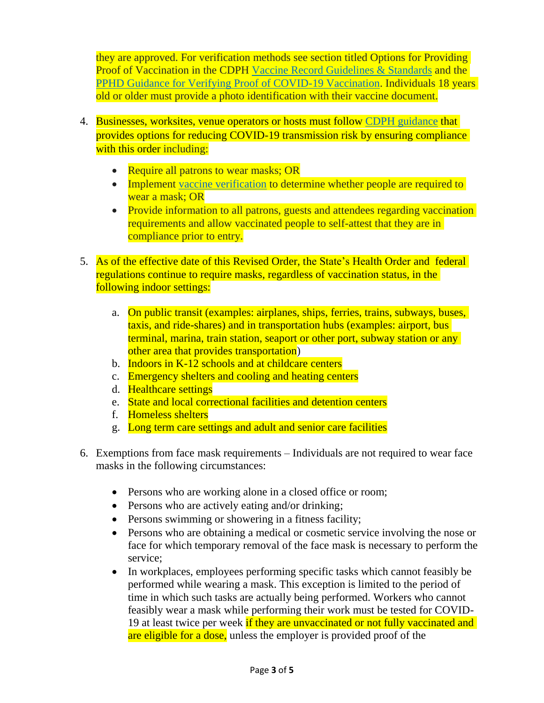they are approved. For verification methods see section titled Options for Providing Proof of Vaccination in the CDPH Vaccine Record [Guidelines & Standards](https://www.cdph.ca.gov/Programs/CID/DCDC/Pages/COVID-19/Vaccine-Record-Guidelines-Standards.aspx) and the PPHD Guidance for Verifying [Proof of COVID-19 Vaccination.](https://www.cityofpasadena.net/public-health/wp-content/uploads/sites/32/Guide-Verifying-Vaccination.pdf) Individuals 18 years old or older must provide a photo identification with their vaccine document.

- 4. Businesses, worksites, venue operators or hosts must follow [CDPH guidance](https://www.cdph.ca.gov/Programs/CID/DCDC/Pages/COVID-19/guidance-for-face-coverings.aspx) that provides options for reducing COVID-19 transmission risk by ensuring compliance with this order including:
	- Require all patrons to wear masks; OR
	- Implement [vaccine verification](https://www.cityofpasadena.net/public-health/wp-content/uploads/sites/32/Guide-Verifying-Vaccination.pdf?v=1645665361683) to determine whether people are required to wear a mask; OR
	- Provide information to all patrons, guests and attendees regarding vaccination requirements and allow vaccinated people to self-attest that they are in compliance prior to entry.
- 5. As of the effective date of this Revised Order, the State's Health Order and federal regulations continue to require masks, regardless of vaccination status, in the following indoor settings:
	- a. On public transit (examples: airplanes, ships, ferries, trains, subways, buses, taxis, and ride-shares) and in transportation hubs (examples: airport, bus terminal, marina, train station, seaport or other port, subway station or any other area that provides transportation)
	- b. Indoors in K-12 schools and at childcare centers
	- c. Emergency shelters and cooling and heating centers
	- d. Healthcare settings
	- e. State and local correctional facilities and detention centers
	- f. Homeless shelters
	- g. Long term care settings and adult and senior care facilities
- 6. Exemptions from face mask requirements Individuals are not required to wear face masks in the following circumstances:
	- Persons who are working alone in a closed office or room;
	- Persons who are actively eating and/or drinking;
	- Persons swimming or showering in a fitness facility;
	- Persons who are obtaining a medical or cosmetic service involving the nose or face for which temporary removal of the face mask is necessary to perform the service;
	- In workplaces, employees performing specific tasks which cannot feasibly be performed while wearing a mask. This exception is limited to the period of time in which such tasks are actually being performed. Workers who cannot feasibly wear a mask while performing their work must be tested for COVID-19 at least twice per week if they are unvaccinated or not fully vaccinated and are eligible for a dose, unless the employer is provided proof of the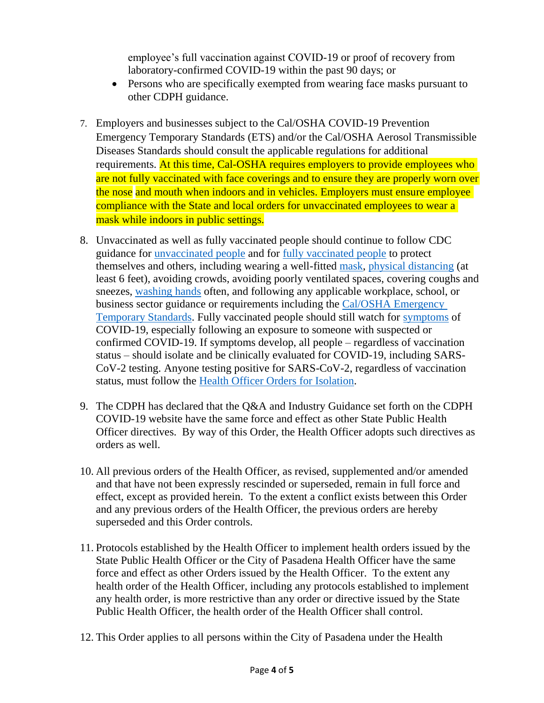employee's full vaccination against COVID-19 or proof of recovery from laboratory-confirmed COVID-19 within the past 90 days; or

- Persons who are specifically exempted from wearing face masks pursuant to other CDPH guidance.
- 7. Employers and businesses subject to the Cal/OSHA COVID-19 Prevention Emergency Temporary Standards (ETS) and/or the Cal/OSHA Aerosol Transmissible Diseases Standards should consult the applicable regulations for additional requirements. At this time, Cal-OSHA requires employers to provide employees who are not fully vaccinated with face coverings and to ensure they are properly worn over the nose and mouth when indoors and in vehicles. Employers must ensure employee compliance with the State and local orders for unvaccinated employees to wear a mask while indoors in public settings.
- 8. Unvaccinated as well as fully vaccinated people should continue to follow CDC guidance for [unvaccinated people](https://www.cdc.gov/coronavirus/2019-ncov/prevent-getting-sick/prevention.html) and for [fully vaccinated people](https://www.cdc.gov/coronavirus/2019-ncov/vaccines/fully-vaccinated.html) to protect themselves and others, including wearing a well-fitted [mask,](https://www.cdc.gov/coronavirus/2019-ncov/prevent-getting-sick/diy-cloth-face-coverings.html) [physical distancing](https://www.cdc.gov/coronavirus/2019-ncov/prevent-getting-sick/social-distancing.html) (at least 6 feet), avoiding crowds, avoiding poorly ventilated spaces, covering coughs and sneezes, [washing hands](https://www.cdc.gov/handwashing/when-how-handwashing.html) often, and following any applicable workplace, school, or business sector guidance or requirements including the [Cal/OSHA Emergency](https://www.dir.ca.gov/dosh/coronavirus/ETS.html)  [Temporary Standards.](https://www.dir.ca.gov/dosh/coronavirus/ETS.html) Fully vaccinated people should still watch for [symptoms](https://www.cdc.gov/coronavirus/2019-ncov/symptoms-testing/symptoms.html) of COVID-19, especially following an exposure to someone with suspected or confirmed COVID-19. If symptoms develop, all people – regardless of vaccination status – should isolate and be clinically evaluated for COVID-19, including SARS-CoV-2 testing. Anyone testing positive for SARS-CoV-2, regardless of vaccination status, must follow the [Health Officer Orders for Isolation.](https://www.cityofpasadena.net/public-health/wp-content/uploads/sites/32/Pasadena-Health-Officer-Blanket-Isolation-Order.pdf?v=1623478202624)
- 9. The CDPH has declared that the Q&A and Industry Guidance set forth on the CDPH COVID-19 website have the same force and effect as other State Public Health Officer directives. By way of this Order, the Health Officer adopts such directives as orders as well.
- 10. All previous orders of the Health Officer, as revised, supplemented and/or amended and that have not been expressly rescinded or superseded, remain in full force and effect, except as provided herein. To the extent a conflict exists between this Order and any previous orders of the Health Officer, the previous orders are hereby superseded and this Order controls.
- 11. Protocols established by the Health Officer to implement health orders issued by the State Public Health Officer or the City of Pasadena Health Officer have the same force and effect as other Orders issued by the Health Officer. To the extent any health order of the Health Officer, including any protocols established to implement any health order, is more restrictive than any order or directive issued by the State Public Health Officer, the health order of the Health Officer shall control.
- 12. This Order applies to all persons within the City of Pasadena under the Health